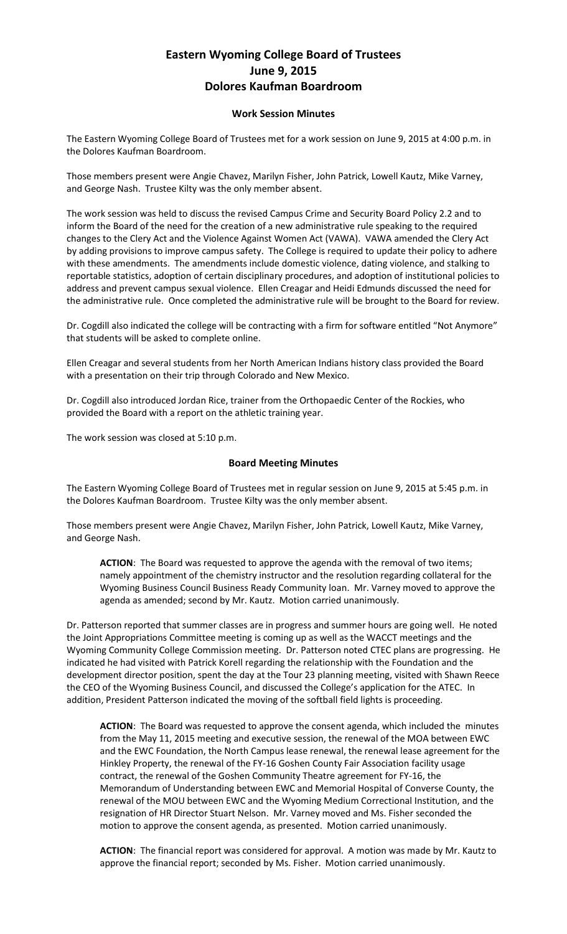## **Eastern Wyoming College Board of Trustees June 9, 2015 Dolores Kaufman Boardroom**

## **Work Session Minutes**

The Eastern Wyoming College Board of Trustees met for a work session on June 9, 2015 at 4:00 p.m. in the Dolores Kaufman Boardroom.

Those members present were Angie Chavez, Marilyn Fisher, John Patrick, Lowell Kautz, Mike Varney, and George Nash. Trustee Kilty was the only member absent.

The work session was held to discuss the revised Campus Crime and Security Board Policy 2.2 and to inform the Board of the need for the creation of a new administrative rule speaking to the required changes to the Clery Act and the Violence Against Women Act (VAWA). VAWA amended the Clery Act by adding provisions to improve campus safety. The College is required to update their policy to adhere with these amendments. The amendments include domestic violence, dating violence, and stalking to reportable statistics, adoption of certain disciplinary procedures, and adoption of institutional policies to address and prevent campus sexual violence. Ellen Creagar and Heidi Edmunds discussed the need for the administrative rule. Once completed the administrative rule will be brought to the Board for review.

Dr. Cogdill also indicated the college will be contracting with a firm for software entitled "Not Anymore" that students will be asked to complete online.

Ellen Creagar and several students from her North American Indians history class provided the Board with a presentation on their trip through Colorado and New Mexico.

Dr. Cogdill also introduced Jordan Rice, trainer from the Orthopaedic Center of the Rockies, who provided the Board with a report on the athletic training year.

The work session was closed at 5:10 p.m.

## **Board Meeting Minutes**

The Eastern Wyoming College Board of Trustees met in regular session on June 9, 2015 at 5:45 p.m. in the Dolores Kaufman Boardroom. Trustee Kilty was the only member absent.

Those members present were Angie Chavez, Marilyn Fisher, John Patrick, Lowell Kautz, Mike Varney, and George Nash.

**ACTION**: The Board was requested to approve the agenda with the removal of two items; namely appointment of the chemistry instructor and the resolution regarding collateral for the Wyoming Business Council Business Ready Community loan. Mr. Varney moved to approve the agenda as amended; second by Mr. Kautz. Motion carried unanimously.

Dr. Patterson reported that summer classes are in progress and summer hours are going well. He noted the Joint Appropriations Committee meeting is coming up as well as the WACCT meetings and the Wyoming Community College Commission meeting. Dr. Patterson noted CTEC plans are progressing. He indicated he had visited with Patrick Korell regarding the relationship with the Foundation and the development director position, spent the day at the Tour 23 planning meeting, visited with Shawn Reece the CEO of the Wyoming Business Council, and discussed the College's application for the ATEC. In addition, President Patterson indicated the moving of the softball field lights is proceeding.

**ACTION**: The Board was requested to approve the consent agenda, which included the minutes from the May 11, 2015 meeting and executive session, the renewal of the MOA between EWC and the EWC Foundation, the North Campus lease renewal, the renewal lease agreement for the Hinkley Property, the renewal of the FY-16 Goshen County Fair Association facility usage contract, the renewal of the Goshen Community Theatre agreement for FY-16, the Memorandum of Understanding between EWC and Memorial Hospital of Converse County, the renewal of the MOU between EWC and the Wyoming Medium Correctional Institution, and the resignation of HR Director Stuart Nelson. Mr. Varney moved and Ms. Fisher seconded the motion to approve the consent agenda, as presented. Motion carried unanimously.

**ACTION**: The financial report was considered for approval. A motion was made by Mr. Kautz to approve the financial report; seconded by Ms. Fisher. Motion carried unanimously.